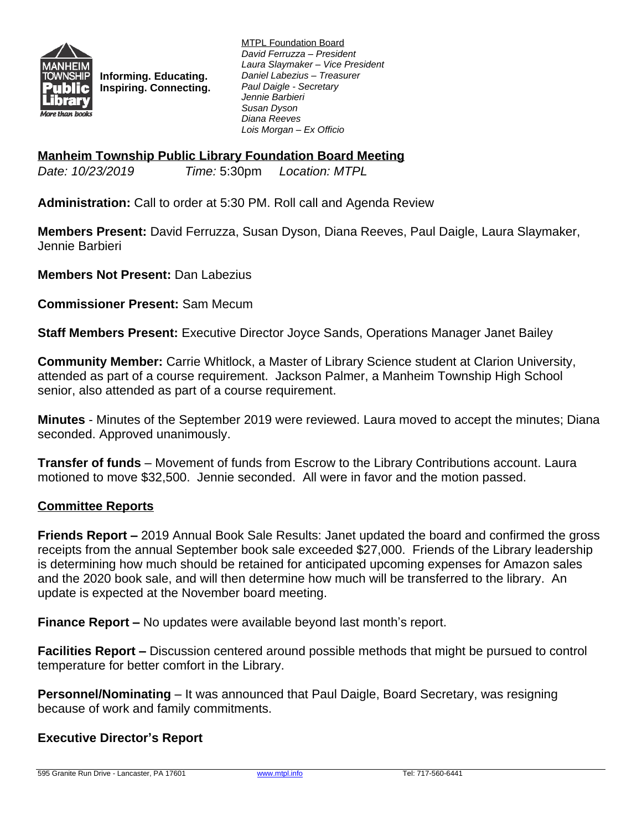

**Informing. Educating. Inspiring. Connecting.**

MTPL Foundation Board *David Ferruzza – President Laura Slaymaker – Vice President Daniel Labezius – Treasurer Paul Daigle - Secretary Jennie Barbieri Susan Dyson Diana Reeves Lois Morgan – Ex Officio*

# **Manheim Township Public Library Foundation Board Meeting**

*Date: 10/23/2019 Time:* 5:30pm *Location: MTPL*

**Administration:** Call to order at 5:30 PM. Roll call and Agenda Review

**Members Present:** David Ferruzza, Susan Dyson, Diana Reeves, Paul Daigle, Laura Slaymaker, Jennie Barbieri

**Members Not Present:** Dan Labezius

**Commissioner Present:** Sam Mecum

**Staff Members Present:** Executive Director Joyce Sands, Operations Manager Janet Bailey

**Community Member:** Carrie Whitlock, a Master of Library Science student at Clarion University, attended as part of a course requirement. Jackson Palmer, a Manheim Township High School senior, also attended as part of a course requirement.

**Minutes** - Minutes of the September 2019 were reviewed. Laura moved to accept the minutes; Diana seconded. Approved unanimously.

**Transfer of funds** – Movement of funds from Escrow to the Library Contributions account. Laura motioned to move \$32,500. Jennie seconded. All were in favor and the motion passed.

# **Committee Reports**

**Friends Report –** 2019 Annual Book Sale Results: Janet updated the board and confirmed the gross receipts from the annual September book sale exceeded \$27,000. Friends of the Library leadership is determining how much should be retained for anticipated upcoming expenses for Amazon sales and the 2020 book sale, and will then determine how much will be transferred to the library. An update is expected at the November board meeting.

**Finance Report –** No updates were available beyond last month's report.

**Facilities Report –** Discussion centered around possible methods that might be pursued to control temperature for better comfort in the Library.

**Personnel/Nominating** – It was announced that Paul Daigle, Board Secretary, was resigning because of work and family commitments.

# **Executive Director's Report**